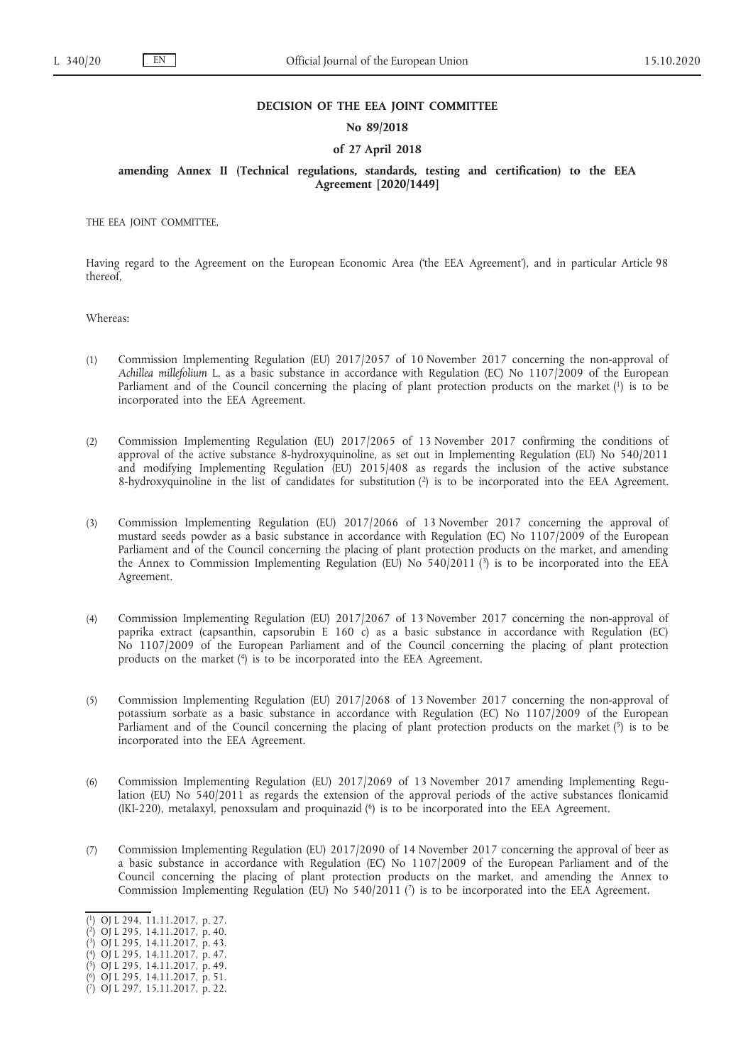#### **DECISION OF THE EEA JOINT COMMITTEE**

## **No 89/2018**

### **of 27 April 2018**

# **amending Annex II (Technical regulations, standards, testing and certification) to the EEA Agreement [2020/1449]**

THE EEA JOINT COMMITTEE,

Having regard to the Agreement on the European Economic Area ('the EEA Agreement'), and in particular Article 98 thereof,

Whereas:

- <span id="page-0-7"></span>(1) Commission Implementing Regulation (EU) 2017/2057 of 10 November 2017 concerning the non-approval of *Achillea millefolium* L. as a basic substance in accordance with Regulation (EC) No 1107/2009 of the European Parliament and of the Council concerning the placing of plant protection products on the market [\(1\)](#page-0-0) is to be incorporated into the EEA Agreement.
- <span id="page-0-8"></span>(2) Commission Implementing Regulation (EU) 2017/2065 of 13 November 2017 confirming the conditions of approval of the active substance 8-hydroxyquinoline, as set out in Implementing Regulation (EU) No 540/2011 and modifying Implementing Regulation (EU) 2015/408 as regards the inclusion of the active substance 8-hydroxyquinoline in the list of candidates for substitution [\(2\)](#page-0-1) is to be incorporated into the EEA Agreement.
- <span id="page-0-9"></span>(3) Commission Implementing Regulation (EU) 2017/2066 of 13 November 2017 concerning the approval of mustard seeds powder as a basic substance in accordance with Regulation (EC) No 1107/2009 of the European Parliament and of the Council concerning the placing of plant protection products on the market, and amending the Annex to Commission Implementing Regulation (EU) No  $540/2011$  (<sup>3</sup>) is to be incorporated into the EEA Agreement.
- <span id="page-0-10"></span>(4) Commission Implementing Regulation (EU) 2017/2067 of 13 November 2017 concerning the non-approval of paprika extract (capsanthin, capsorubin E 160 c) as a basic substance in accordance with Regulation (EC) No 1107/2009 of the European Parliament and of the Council concerning the placing of plant protection products on the marke[t \(4\)](#page-0-3) is to be incorporated into the EEA Agreement.
- <span id="page-0-11"></span>(5) Commission Implementing Regulation (EU) 2017/2068 of 13 November 2017 concerning the non-approval of potassium sorbate as a basic substance in accordance with Regulation (EC) No 1107/2009 of the European Parliament and of the Council concerning the placing of plant protection products on the market [\(5\)](#page-0-4) is to be incorporated into the EEA Agreement.
- <span id="page-0-12"></span>(6) Commission Implementing Regulation (EU) 2017/2069 of 13 November 2017 amending Implementing Regulation (EU) No 540/2011 as regards the extension of the approval periods of the active substances flonicamid (IKI-220), metalaxyl, penoxsulam and proquinazi[d \(6\)](#page-0-5) is to be incorporated into the EEA Agreement.
- (7) Commission Implementing Regulation (EU) 2017/2090 of 14 November 2017 concerning the approval of beer as a basic substance in accordance with Regulation (EC) No 1107/2009 of the European Parliament and of the Council concerning the placing of plant protection products on the market, and amending the Annex to Commission Implementing Regulation (EU) No 540/2011 [\(7\)](#page-0-6) is to be incorporated into the EEA Agreement.

<span id="page-0-13"></span><span id="page-0-0"></span>[<sup>\(</sup>](#page-0-7) [1\)](#page-0-7) OJ L 294, 11.11.2017, p. 27.

<span id="page-0-1"></span>[<sup>\(</sup>](#page-0-8) [2\)](#page-0-8) OJ L 295, 14.11.2017, p. 40.

<span id="page-0-2"></span>[<sup>\(</sup>](#page-0-9) [3\)](#page-0-9) OJ L 295, 14.11.2017, p. 43. [\(](#page-0-10) [4\)](#page-0-10) OJ L 295, 14.11.2017, p. 47.

<span id="page-0-3"></span>[<sup>\(</sup>](#page-0-11) [5\)](#page-0-11) OJ L 295, 14.11.2017, p. 49.

<span id="page-0-5"></span><span id="page-0-4"></span>[<sup>\(</sup>](#page-0-12) [6\)](#page-0-12) OJ L 295, 14.11.2017, p. 51.

<span id="page-0-6"></span>[<sup>\(</sup>](#page-0-13) [7\)](#page-0-13) OJ L 297, 15.11.2017, p. 22.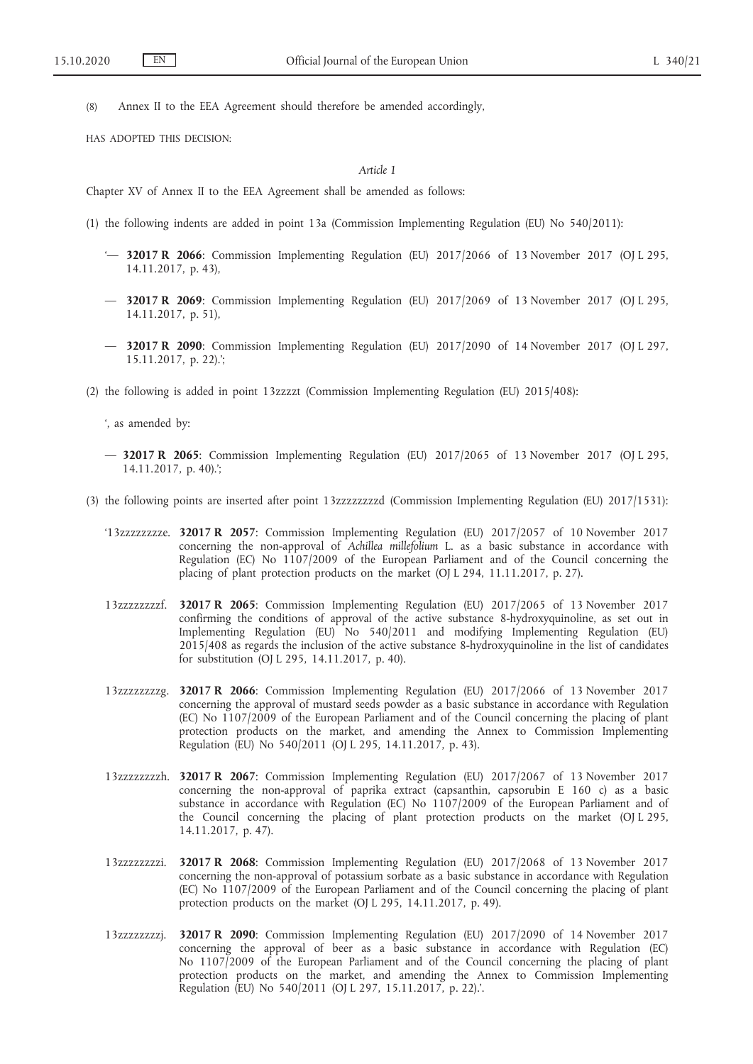(8) Annex II to the EEA Agreement should therefore be amended accordingly,

HAS ADOPTED THIS DECISION:

### *Article 1*

Chapter XV of Annex II to the EEA Agreement shall be amended as follows:

- (1) the following indents are added in point 13a (Commission Implementing Regulation (EU) No 540/2011):
	- '— **32017 R 2066**: Commission Implementing Regulation (EU) 2017/2066 of 13 November 2017 (OJ L 295, 14.11.2017, p. 43),
	- — **32017 R 2069**: Commission Implementing Regulation (EU) 2017/2069 of 13 November 2017 (OJ L 295, 14.11.2017, p. 51),
	- — **32017 R 2090**: Commission Implementing Regulation (EU) 2017/2090 of 14 November 2017 (OJ L 297, 15.11.2017, p. 22).';
- (2) the following is added in point 13zzzzt (Commission Implementing Regulation (EU) 2015/408):

', as amended by:

- — **32017 R 2065**: Commission Implementing Regulation (EU) 2017/2065 of 13 November 2017 (OJ L 295, 14.11.2017, p. 40).';
- (3) the following points are inserted after point 13zzzzzzzzd (Commission Implementing Regulation (EU) 2017/1531):
	- '13zzzzzzzze. **32017 R 2057**: Commission Implementing Regulation (EU) 2017/2057 of 10 November 2017 concerning the non-approval of *Achillea millefolium* L. as a basic substance in accordance with Regulation (EC) No 1107/2009 of the European Parliament and of the Council concerning the placing of plant protection products on the market (OJ L 294, 11.11.2017, p. 27).
	- 13zzzzzzzzf. **32017 R 2065**: Commission Implementing Regulation (EU) 2017/2065 of 13 November 2017 confirming the conditions of approval of the active substance 8-hydroxyquinoline, as set out in Implementing Regulation (EU) No 540/2011 and modifying Implementing Regulation (EU) 2015/408 as regards the inclusion of the active substance 8-hydroxyquinoline in the list of candidates for substitution (OJ L 295, 14.11.2017, p. 40).
	- 13zzzzzzzzg. **32017 R 2066**: Commission Implementing Regulation (EU) 2017/2066 of 13 November 2017 concerning the approval of mustard seeds powder as a basic substance in accordance with Regulation (EC) No 1107/2009 of the European Parliament and of the Council concerning the placing of plant protection products on the market, and amending the Annex to Commission Implementing Regulation (EU) No 540/2011 (OJ L 295, 14.11.2017, p. 43).
	- 13zzzzzzzzh. **32017 R 2067**: Commission Implementing Regulation (EU) 2017/2067 of 13 November 2017 concerning the non-approval of paprika extract (capsanthin, capsorubin E 160 c) as a basic substance in accordance with Regulation (EC) No 1107/2009 of the European Parliament and of the Council concerning the placing of plant protection products on the market (OJ L 295, 14.11.2017, p. 47).
	- 13zzzzzzzzi. **32017 R 2068**: Commission Implementing Regulation (EU) 2017/2068 of 13 November 2017 concerning the non-approval of potassium sorbate as a basic substance in accordance with Regulation (EC) No 1107/2009 of the European Parliament and of the Council concerning the placing of plant protection products on the market (OJ L 295, 14.11.2017, p. 49).
	- 13zzzzzzzzj. **32017 R 2090**: Commission Implementing Regulation (EU) 2017/2090 of 14 November 2017 concerning the approval of beer as a basic substance in accordance with Regulation (EC) No 1107/2009 of the European Parliament and of the Council concerning the placing of plant protection products on the market, and amending the Annex to Commission Implementing Regulation (EU) No 540/2011 (OJ L 297, 15.11.2017, p. 22).'.